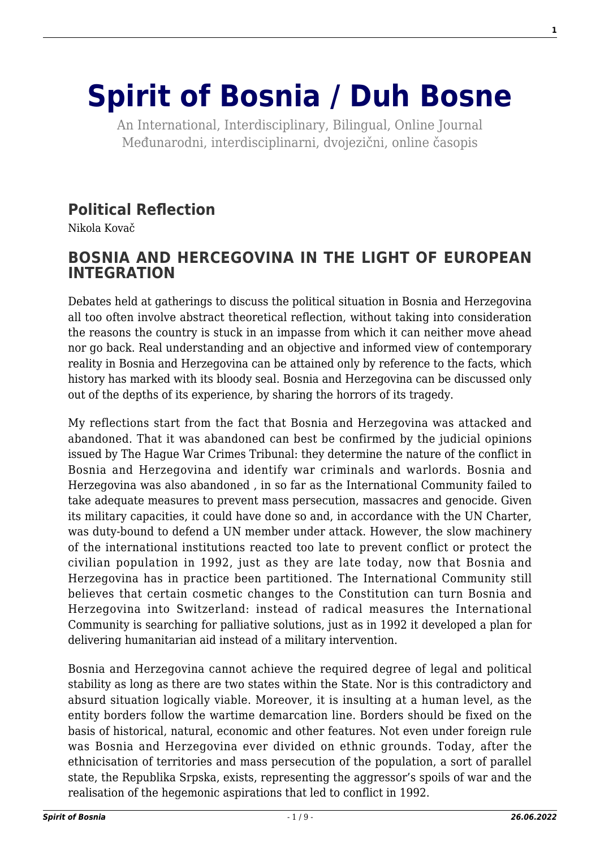# **[Spirit of Bosnia / Duh Bosne](http://www.spiritofbosnia.org/)**

An International, Interdisciplinary, Bilingual, Online Journal Međunarodni, interdisciplinarni, dvojezični, online časopis

#### **[Political Reflection](http://www.spiritofbosnia.org/volume-2-no-2-2007-april/political-reflection/)**

Nikola Kovač

#### **BOSNIA AND HERCEGOVINA IN THE LIGHT OF EUROPEAN INTEGRATION**

Debates held at gatherings to discuss the political situation in Bosnia and Herzegovina all too often involve abstract theoretical reflection, without taking into consideration the reasons the country is stuck in an impasse from which it can neither move ahead nor go back. Real understanding and an objective and informed view of contemporary reality in Bosnia and Herzegovina can be attained only by reference to the facts, which history has marked with its bloody seal. Bosnia and Herzegovina can be discussed only out of the depths of its experience, by sharing the horrors of its tragedy.

My reflections start from the fact that Bosnia and Herzegovina was attacked and abandoned. That it was abandoned can best be confirmed by the judicial opinions issued by The Hague War Crimes Tribunal: they determine the nature of the conflict in Bosnia and Herzegovina and identify war criminals and warlords. Bosnia and Herzegovina was also abandoned , in so far as the International Community failed to take adequate measures to prevent mass persecution, massacres and genocide. Given its military capacities, it could have done so and, in accordance with the UN Charter, was duty-bound to defend a UN member under attack. However, the slow machinery of the international institutions reacted too late to prevent conflict or protect the civilian population in 1992, just as they are late today, now that Bosnia and Herzegovina has in practice been partitioned. The International Community still believes that certain cosmetic changes to the Constitution can turn Bosnia and Herzegovina into Switzerland: instead of radical measures the International Community is searching for palliative solutions, just as in 1992 it developed a plan for delivering humanitarian aid instead of a military intervention.

Bosnia and Herzegovina cannot achieve the required degree of legal and political stability as long as there are two states within the State. Nor is this contradictory and absurd situation logically viable. Moreover, it is insulting at a human level, as the entity borders follow the wartime demarcation line. Borders should be fixed on the basis of historical, natural, economic and other features. Not even under foreign rule was Bosnia and Herzegovina ever divided on ethnic grounds. Today, after the ethnicisation of territories and mass persecution of the population, a sort of parallel state, the Republika Srpska, exists, representing the aggressor's spoils of war and the realisation of the hegemonic aspirations that led to conflict in 1992.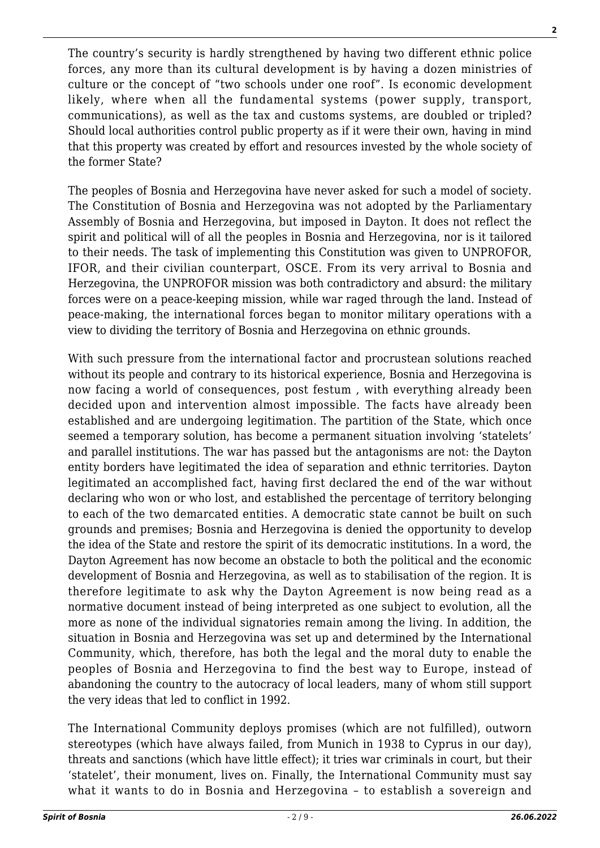The country's security is hardly strengthened by having two different ethnic police forces, any more than its cultural development is by having a dozen ministries of culture or the concept of "two schools under one roof". Is economic development likely, where when all the fundamental systems (power supply, transport, communications), as well as the tax and customs systems, are doubled or tripled? Should local authorities control public property as if it were their own, having in mind that this property was created by effort and resources invested by the whole society of the former State?

The peoples of Bosnia and Herzegovina have never asked for such a model of society. The Constitution of Bosnia and Herzegovina was not adopted by the Parliamentary Assembly of Bosnia and Herzegovina, but imposed in Dayton. It does not reflect the spirit and political will of all the peoples in Bosnia and Herzegovina, nor is it tailored to their needs. The task of implementing this Constitution was given to UNPROFOR, IFOR, and their civilian counterpart, OSCE. From its very arrival to Bosnia and Herzegovina, the UNPROFOR mission was both contradictory and absurd: the military forces were on a peace-keeping mission, while war raged through the land. Instead of peace-making, the international forces began to monitor military operations with a view to dividing the territory of Bosnia and Herzegovina on ethnic grounds.

With such pressure from the international factor and procrustean solutions reached without its people and contrary to its historical experience, Bosnia and Herzegovina is now facing a world of consequences, post festum , with everything already been decided upon and intervention almost impossible. The facts have already been established and are undergoing legitimation. The partition of the State, which once seemed a temporary solution, has become a permanent situation involving 'statelets' and parallel institutions. The war has passed but the antagonisms are not: the Dayton entity borders have legitimated the idea of separation and ethnic territories. Dayton legitimated an accomplished fact, having first declared the end of the war without declaring who won or who lost, and established the percentage of territory belonging to each of the two demarcated entities. A democratic state cannot be built on such grounds and premises; Bosnia and Herzegovina is denied the opportunity to develop the idea of the State and restore the spirit of its democratic institutions. In a word, the Dayton Agreement has now become an obstacle to both the political and the economic development of Bosnia and Herzegovina, as well as to stabilisation of the region. It is therefore legitimate to ask why the Dayton Agreement is now being read as a normative document instead of being interpreted as one subject to evolution, all the more as none of the individual signatories remain among the living. In addition, the situation in Bosnia and Herzegovina was set up and determined by the International Community, which, therefore, has both the legal and the moral duty to enable the peoples of Bosnia and Herzegovina to find the best way to Europe, instead of abandoning the country to the autocracy of local leaders, many of whom still support the very ideas that led to conflict in 1992.

The International Community deploys promises (which are not fulfilled), outworn stereotypes (which have always failed, from Munich in 1938 to Cyprus in our day), threats and sanctions (which have little effect); it tries war criminals in court, but their 'statelet', their monument, lives on. Finally, the International Community must say what it wants to do in Bosnia and Herzegovina – to establish a sovereign and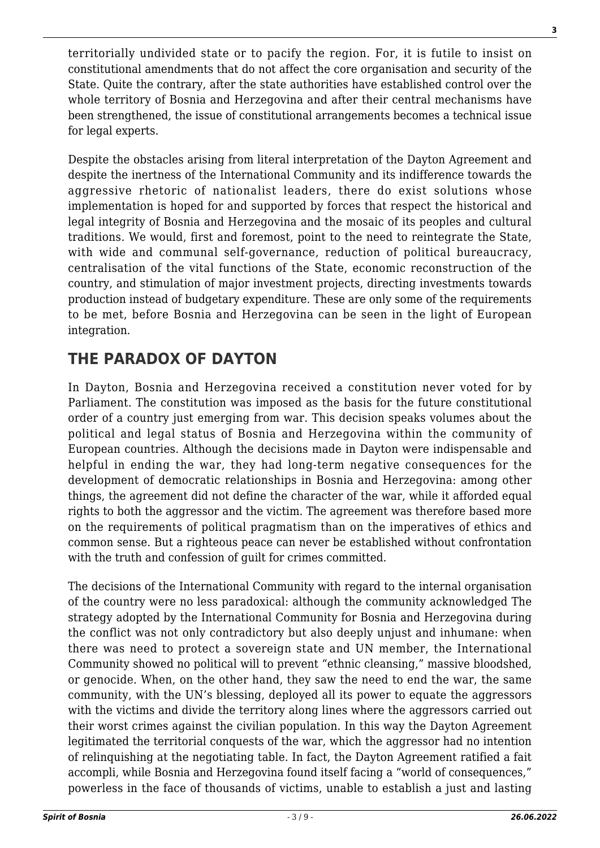territorially undivided state or to pacify the region. For, it is futile to insist on constitutional amendments that do not affect the core organisation and security of the State. Quite the contrary, after the state authorities have established control over the whole territory of Bosnia and Herzegovina and after their central mechanisms have been strengthened, the issue of constitutional arrangements becomes a technical issue for legal experts.

Despite the obstacles arising from literal interpretation of the Dayton Agreement and despite the inertness of the International Community and its indifference towards the aggressive rhetoric of nationalist leaders, there do exist solutions whose implementation is hoped for and supported by forces that respect the historical and legal integrity of Bosnia and Herzegovina and the mosaic of its peoples and cultural traditions. We would, first and foremost, point to the need to reintegrate the State, with wide and communal self-governance, reduction of political bureaucracy, centralisation of the vital functions of the State, economic reconstruction of the country, and stimulation of major investment projects, directing investments towards production instead of budgetary expenditure. These are only some of the requirements to be met, before Bosnia and Herzegovina can be seen in the light of European integration.

## **THE PARADOX OF DAYTON**

In Dayton, Bosnia and Herzegovina received a constitution never voted for by Parliament. The constitution was imposed as the basis for the future constitutional order of a country just emerging from war. This decision speaks volumes about the political and legal status of Bosnia and Herzegovina within the community of European countries. Although the decisions made in Dayton were indispensable and helpful in ending the war, they had long-term negative consequences for the development of democratic relationships in Bosnia and Herzegovina: among other things, the agreement did not define the character of the war, while it afforded equal rights to both the aggressor and the victim. The agreement was therefore based more on the requirements of political pragmatism than on the imperatives of ethics and common sense. But a righteous peace can never be established without confrontation with the truth and confession of guilt for crimes committed.

The decisions of the International Community with regard to the internal organisation of the country were no less paradoxical: although the community acknowledged The strategy adopted by the International Community for Bosnia and Herzegovina during the conflict was not only contradictory but also deeply unjust and inhumane: when there was need to protect a sovereign state and UN member, the International Community showed no political will to prevent "ethnic cleansing," massive bloodshed, or genocide. When, on the other hand, they saw the need to end the war, the same community, with the UN's blessing, deployed all its power to equate the aggressors with the victims and divide the territory along lines where the aggressors carried out their worst crimes against the civilian population. In this way the Dayton Agreement legitimated the territorial conquests of the war, which the aggressor had no intention of relinquishing at the negotiating table. In fact, the Dayton Agreement ratified a fait accompli, while Bosnia and Herzegovina found itself facing a "world of consequences," powerless in the face of thousands of victims, unable to establish a just and lasting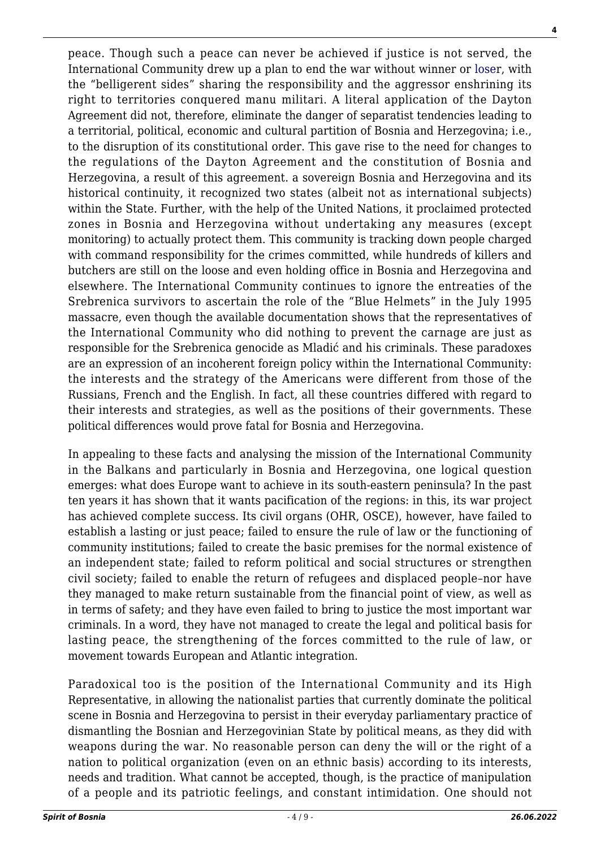peace. Though such a peace can never be achieved if justice is not served, the International Community drew up a plan to end the war without winner or [loser](http://www.willbeta.com/lose-weight-exercise/), with the "belligerent sides" sharing the responsibility and the aggressor enshrining its right to territories conquered manu militari. A literal application of the Dayton Agreement did not, therefore, eliminate the danger of separatist tendencies leading to a territorial, political, economic and cultural partition of Bosnia and Herzegovina; i.e., to the disruption of its constitutional order. This gave rise to the need for changes to the regulations of the Dayton Agreement and the constitution of Bosnia and Herzegovina, a result of this agreement. a sovereign Bosnia and Herzegovina and its historical continuity, it recognized two states (albeit not as international subjects) within the State. Further, with the help of the United Nations, it proclaimed protected zones in Bosnia and Herzegovina without undertaking any measures (except monitoring) to actually protect them. This community is tracking down people charged with command responsibility for the crimes committed, while hundreds of killers and butchers are still on the loose and even holding office in Bosnia and Herzegovina and elsewhere. The International Community continues to ignore the entreaties of the Srebrenica survivors to ascertain the role of the "Blue Helmets" in the July 1995 massacre, even though the available documentation shows that the representatives of the International Community who did nothing to prevent the carnage are just as responsible for the Srebrenica genocide as Mladić and his criminals. These paradoxes are an expression of an incoherent foreign policy within the International Community: the interests and the strategy of the Americans were different from those of the Russians, French and the English. In fact, all these countries differed with regard to their interests and strategies, as well as the positions of their governments. These political differences would prove fatal for Bosnia and Herzegovina.

In appealing to these facts and analysing the mission of the International Community in the Balkans and particularly in Bosnia and Herzegovina, one logical question emerges: what does Europe want to achieve in its south-eastern peninsula? In the past ten years it has shown that it wants pacification of the regions: in this, its war project has achieved complete success. Its civil organs (OHR, OSCE), however, have failed to establish a lasting or just peace; failed to ensure the rule of law or the functioning of community institutions; failed to create the basic premises for the normal existence of an independent state; failed to reform political and social structures or strengthen civil society; failed to enable the return of refugees and displaced people–nor have they managed to make return sustainable from the financial point of view, as well as in terms of safety; and they have even failed to bring to justice the most important war criminals. In a word, they have not managed to create the legal and political basis for lasting peace, the strengthening of the forces committed to the rule of law, or movement towards European and Atlantic integration.

Paradoxical too is the position of the International Community and its High Representative, in allowing the nationalist parties that currently dominate the political scene in Bosnia and Herzegovina to persist in their everyday parliamentary practice of dismantling the Bosnian and Herzegovinian State by political means, as they did with weapons during the war. No reasonable person can deny the will or the right of a nation to political organization (even on an ethnic basis) according to its interests, needs and tradition. What cannot be accepted, though, is the practice of manipulation of a people and its patriotic feelings, and constant intimidation. One should not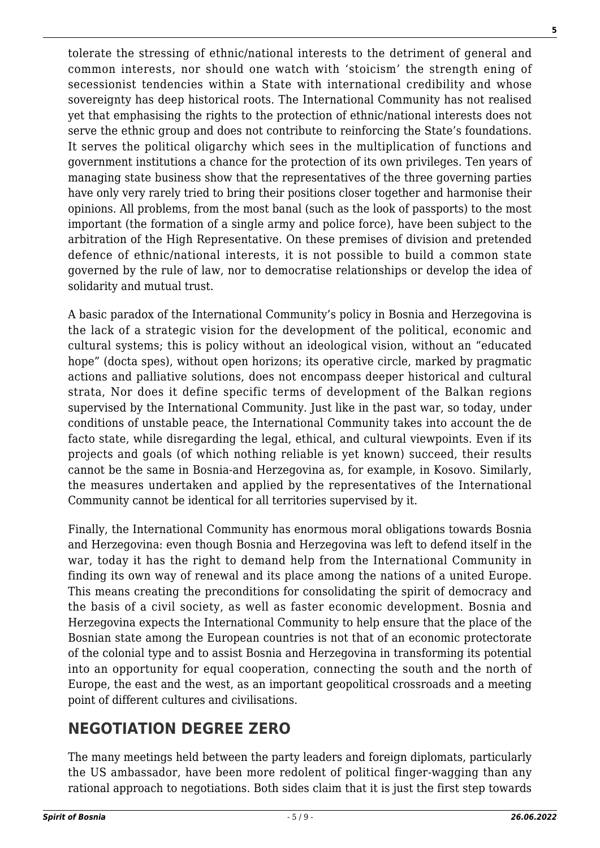tolerate the stressing of ethnic/national interests to the detriment of general and common interests, nor should one watch with 'stoicism' the strength ening of secessionist tendencies within a State with international credibility and whose sovereignty has deep historical roots. The International Community has not realised yet that emphasising the rights to the protection of ethnic/national interests does not serve the ethnic group and does not contribute to reinforcing the State's foundations. It serves the political oligarchy which sees in the multiplication of functions and government institutions a chance for the protection of its own privileges. Ten years of managing state business show that the representatives of the three governing parties have only very rarely tried to bring their positions closer together and harmonise their opinions. All problems, from the most banal (such as the look of passports) to the most important (the formation of a single army and police force), have been subject to the arbitration of the High Representative. On these premises of division and pretended defence of ethnic/national interests, it is not possible to build a common state governed by the rule of law, nor to democratise relationships or develop the idea of solidarity and mutual trust.

A basic paradox of the International Community's policy in Bosnia and Herzegovina is the lack of a strategic vision for the development of the political, economic and cultural systems; this is policy without an ideological vision, without an "educated hope" (docta spes), without open horizons; its operative circle, marked by pragmatic actions and palliative solutions, does not encompass deeper historical and cultural strata, Nor does it define specific terms of development of the Balkan regions supervised by the International Community. Just like in the past war, so today, under conditions of unstable peace, the International Community takes into account the de facto state, while disregarding the legal, ethical, and cultural viewpoints. Even if its projects and goals (of which nothing reliable is yet known) succeed, their results cannot be the same in Bosnia-and Herzegovina as, for example, in Kosovo. Similarly, the measures undertaken and applied by the representatives of the International Community cannot be identical for all territories supervised by it.

Finally, the International Community has enormous moral obligations towards Bosnia and Herzegovina: even though Bosnia and Herzegovina was left to defend itself in the war, today it has the right to demand help from the International Community in finding its own way of renewal and its place among the nations of a united Europe. This means creating the preconditions for consolidating the spirit of democracy and the basis of a civil society, as well as faster economic development. Bosnia and Herzegovina expects the International Community to help ensure that the place of the Bosnian state among the European countries is not that of an economic protectorate of the colonial type and to assist Bosnia and Herzegovina in transforming its potential into an opportunity for equal cooperation, connecting the south and the north of Europe, the east and the west, as an important geopolitical crossroads and a meeting point of different cultures and civilisations.

## **NEGOTIATION DEGREE ZERO**

The many meetings held between the party leaders and foreign diplomats, particularly the US ambassador, have been more redolent of political finger-wagging than any rational approach to negotiations. Both sides claim that it is just the first step towards **5**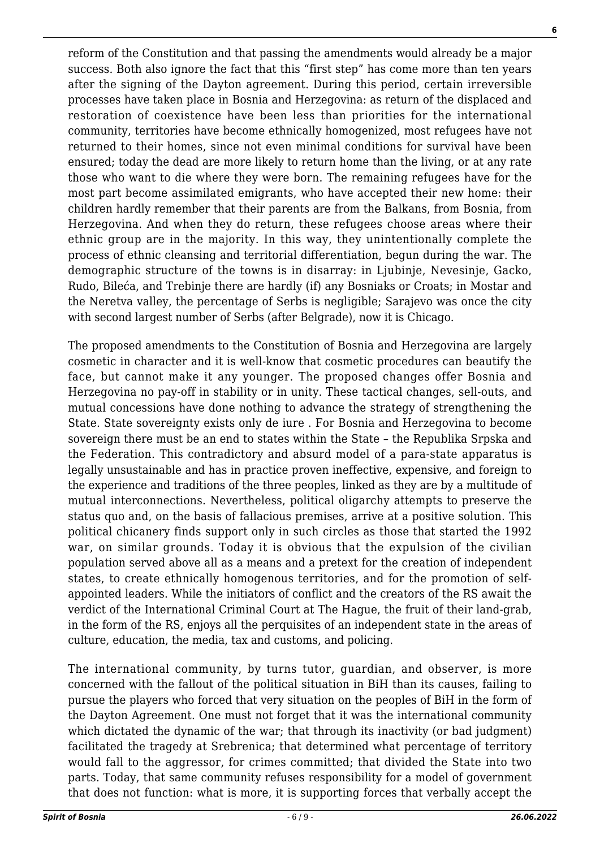reform of the Constitution and that passing the amendments would already be a major success. Both also ignore the fact that this "first step" has come more than ten years after the signing of the Dayton agreement. During this period, certain irreversible processes have taken place in Bosnia and Herzegovina: as return of the displaced and restoration of coexistence have been less than priorities for the international community, territories have become ethnically homogenized, most refugees have not returned to their homes, since not even minimal conditions for survival have been ensured; today the dead are more likely to return home than the living, or at any rate those who want to die where they were born. The remaining refugees have for the most part become assimilated emigrants, who have accepted their new home: their children hardly remember that their parents are from the Balkans, from Bosnia, from Herzegovina. And when they do return, these refugees choose areas where their ethnic group are in the majority. In this way, they unintentionally complete the process of ethnic cleansing and territorial differentiation, begun during the war. The demographic structure of the towns is in disarray: in Ljubinje, Nevesinje, Gacko, Rudo, Bileća, and Trebinje there are hardly (if) any Bosniaks or Croats; in Mostar and the Neretva valley, the percentage of Serbs is negligible; Sarajevo was once the city with second largest number of Serbs (after Belgrade), now it is Chicago.

The proposed amendments to the Constitution of Bosnia and Herzegovina are largely cosmetic in character and it is well-know that cosmetic procedures can beautify the face, but cannot make it any younger. The proposed changes offer Bosnia and Herzegovina no pay-off in stability or in unity. These tactical changes, sell-outs, and mutual concessions have done nothing to advance the strategy of strengthening the State. State sovereignty exists only de iure . For Bosnia and Herzegovina to become sovereign there must be an end to states within the State – the Republika Srpska and the Federation. This contradictory and absurd model of a para-state apparatus is legally unsustainable and has in practice proven ineffective, expensive, and foreign to the experience and traditions of the three peoples, linked as they are by a multitude of mutual interconnections. Nevertheless, political oligarchy attempts to preserve the status quo and, on the basis of fallacious premises, arrive at a positive solution. This political chicanery finds support only in such circles as those that started the 1992 war, on similar grounds. Today it is obvious that the expulsion of the civilian population served above all as a means and a pretext for the creation of independent states, to create ethnically homogenous territories, and for the promotion of selfappointed leaders. While the initiators of conflict and the creators of the RS await the verdict of the International Criminal Court at The Hague, the fruit of their land-grab, in the form of the RS, enjoys all the perquisites of an independent state in the areas of culture, education, the media, tax and customs, and policing.

The international community, by turns tutor, guardian, and observer, is more concerned with the fallout of the political situation in BiH than its causes, failing to pursue the players who forced that very situation on the peoples of BiH in the form of the Dayton Agreement. One must not forget that it was the international community which dictated the dynamic of the war; that through its inactivity (or bad judgment) facilitated the tragedy at Srebrenica; that determined what percentage of territory would fall to the aggressor, for crimes committed; that divided the State into two parts. Today, that same community refuses responsibility for a model of government that does not function: what is more, it is supporting forces that verbally accept the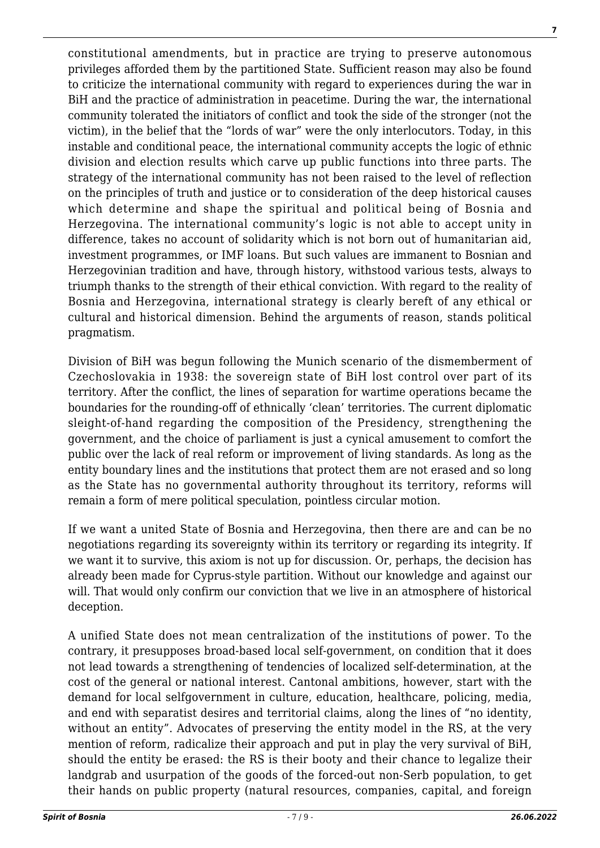**7**

constitutional amendments, but in practice are trying to preserve autonomous privileges afforded them by the partitioned State. Sufficient reason may also be found to criticize the international community with regard to experiences during the war in BiH and the practice of administration in peacetime. During the war, the international community tolerated the initiators of conflict and took the side of the stronger (not the victim), in the belief that the "lords of war" were the only interlocutors. Today, in this instable and conditional peace, the international community accepts the logic of ethnic division and election results which carve up public functions into three parts. The strategy of the international community has not been raised to the level of reflection on the principles of truth and justice or to consideration of the deep historical causes which determine and shape the spiritual and political being of Bosnia and Herzegovina. The international community's logic is not able to accept unity in difference, takes no account of solidarity which is not born out of humanitarian aid, investment programmes, or IMF loans. But such values are immanent to Bosnian and Herzegovinian tradition and have, through history, withstood various tests, always to triumph thanks to the strength of their ethical conviction. With regard to the reality of Bosnia and Herzegovina, international strategy is clearly bereft of any ethical or cultural and historical dimension. Behind the arguments of reason, stands political pragmatism.

Division of BiH was begun following the Munich scenario of the dismemberment of Czechoslovakia in 1938: the sovereign state of BiH lost control over part of its territory. After the conflict, the lines of separation for wartime operations became the boundaries for the rounding-off of ethnically 'clean' territories. The current diplomatic sleight-of-hand regarding the composition of the Presidency, strengthening the government, and the choice of parliament is just a cynical amusement to comfort the public over the lack of real reform or improvement of living standards. As long as the entity boundary lines and the institutions that protect them are not erased and so long as the State has no governmental authority throughout its territory, reforms will remain a form of mere political speculation, pointless circular motion.

If we want a united State of Bosnia and Herzegovina, then there are and can be no negotiations regarding its sovereignty within its territory or regarding its integrity. If we want it to survive, this axiom is not up for discussion. Or, perhaps, the decision has already been made for Cyprus-style partition. Without our knowledge and against our will. That would only confirm our conviction that we live in an atmosphere of historical deception.

A unified State does not mean centralization of the institutions of power. To the contrary, it presupposes broad-based local self-government, on condition that it does not lead towards a strengthening of tendencies of localized self-determination, at the cost of the general or national interest. Cantonal ambitions, however, start with the demand for local selfgovernment in culture, education, healthcare, policing, media, and end with separatist desires and territorial claims, along the lines of "no identity, without an entity". Advocates of preserving the entity model in the RS, at the very mention of reform, radicalize their approach and put in play the very survival of BiH, should the entity be erased: the RS is their booty and their chance to legalize their landgrab and usurpation of the goods of the forced-out non-Serb population, to get their hands on public property (natural resources, companies, capital, and foreign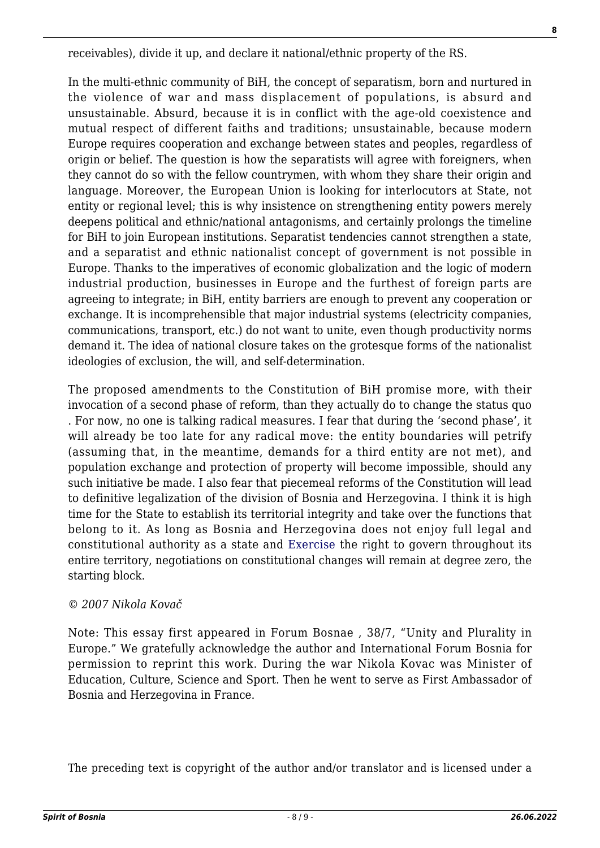receivables), divide it up, and declare it national/ethnic property of the RS.

In the multi-ethnic community of BiH, the concept of separatism, born and nurtured in the violence of war and mass displacement of populations, is absurd and unsustainable. Absurd, because it is in conflict with the age-old coexistence and mutual respect of different faiths and traditions; unsustainable, because modern Europe requires cooperation and exchange between states and peoples, regardless of origin or belief. The question is how the separatists will agree with foreigners, when they cannot do so with the fellow countrymen, with whom they share their origin and language. Moreover, the European Union is looking for interlocutors at State, not entity or regional level; this is why insistence on strengthening entity powers merely deepens political and ethnic/national antagonisms, and certainly prolongs the timeline for BiH to join European institutions. Separatist tendencies cannot strengthen a state, and a separatist and ethnic nationalist concept of government is not possible in Europe. Thanks to the imperatives of economic globalization and the logic of modern industrial production, businesses in Europe and the furthest of foreign parts are agreeing to integrate; in BiH, entity barriers are enough to prevent any cooperation or exchange. It is incomprehensible that major industrial systems (electricity companies, communications, transport, etc.) do not want to unite, even though productivity norms demand it. The idea of national closure takes on the grotesque forms of the nationalist ideologies of exclusion, the will, and self-determination.

The proposed amendments to the Constitution of BiH promise more, with their invocation of a second phase of reform, than they actually do to change the status quo . For now, no one is talking radical measures. I fear that during the 'second phase', it will already be too late for any radical move: the entity boundaries will petrify (assuming that, in the meantime, demands for a third entity are not met), and population exchange and protection of property will become impossible, should any such initiative be made. I also fear that piecemeal reforms of the Constitution will lead to definitive legalization of the division of Bosnia and Herzegovina. I think it is high time for the State to establish its territorial integrity and take over the functions that belong to it. As long as Bosnia and Herzegovina does not enjoy full legal and constitutional authority as a state and [Exercise](http://www.willbeta.com/lose-weight-exercise/) the right to govern throughout its entire territory, negotiations on constitutional changes will remain at degree zero, the starting block.

#### *© 2007 Nikola Kovač*

Note: This essay first appeared in Forum Bosnae , 38/7, "Unity and Plurality in Europe." We gratefully acknowledge the author and International Forum Bosnia for permission to reprint this work. During the war Nikola Kovac was Minister of Education, Culture, Science and Sport. Then he went to serve as First Ambassador of Bosnia and Herzegovina in France.

The preceding text is copyright of the author and/or translator and is licensed under a